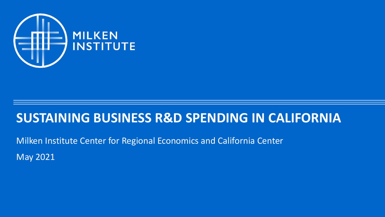

### **SUSTAINING BUSINESS R&D SPENDING IN CALIFORNIA**

Milken Institute Center for Regional Economics and California Center May 2021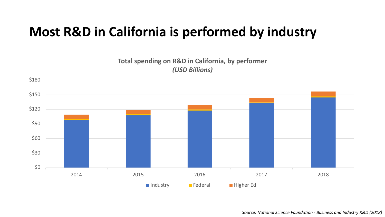## **Most R&D in California is performed by industry**

#### **Total spending on R&D in California, by performer** *(USD Billions)*

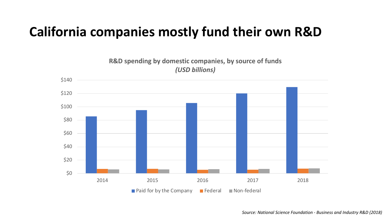## **California companies mostly fund their own R&D**

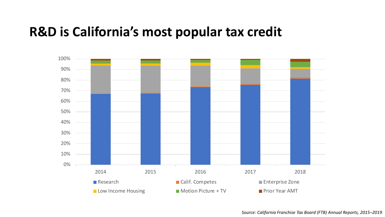### **R&D is California's most popular tax credit**

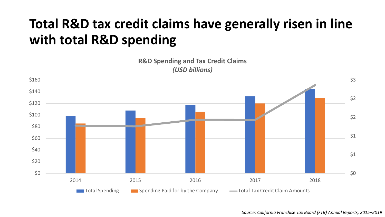# **Total R&D tax credit claims have generally risen in line with total R&D spending**

**R&D Spending and Tax Credit Claims** *(USD billions)*



*Source: California Franchise Tax Board (FTB) Annual Reports, 2015–2019*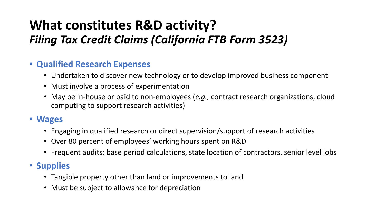## **What constitutes R&D activity?** *Filing Tax Credit Claims (California FTB Form 3523)*

#### • **Qualified Research Expenses**

- Undertaken to discover new technology or to develop improved business component
- Must involve a process of experimentation
- May be in-house or paid to non-employees (*e.g.,* contract research organizations, cloud computing to support research activities)

#### • **Wages**

- Engaging in qualified research or direct supervision/support of research activities
- Over 80 percent of employees' working hours spent on R&D
- Frequent audits: base period calculations, state location of contractors, senior level jobs

#### • **Supplies**

- Tangible property other than land or improvements to land
- Must be subject to allowance for depreciation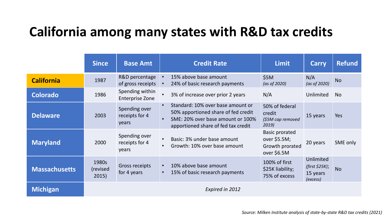## **California among many states with R&D tax credits**

|                      | <b>Since</b>               | <b>Base Amt</b>                           |                        | <b>Credit Rate</b>                                                                                                                                   | <b>Limit</b>                                                             | <b>Carry</b>                                        | <b>Refund</b> |
|----------------------|----------------------------|-------------------------------------------|------------------------|------------------------------------------------------------------------------------------------------------------------------------------------------|--------------------------------------------------------------------------|-----------------------------------------------------|---------------|
| <b>California</b>    | 1987                       | R&D percentage<br>of gross receipts       | $\bullet$<br>$\bullet$ | 15% above base amount<br>24% of basic research payments                                                                                              | \$5M<br>(as of 2020)                                                     | N/A<br>(as of 2020)                                 | <b>No</b>     |
| <b>Colorado</b>      | 1986                       | Spending within<br><b>Enterprise Zone</b> |                        | 3% of increase over prior 2 years                                                                                                                    | N/A                                                                      | <b>Unlimited</b>                                    | <b>No</b>     |
| <b>Delaware</b>      | 2003                       | Spending over<br>receipts for 4<br>years  | $\bullet$<br>$\bullet$ | Standard: 10% over base amount or<br>50% apportioned share of fed credit<br>SME: 20% over base amount or 100%<br>apportioned share of fed tax credit | 50% of federal<br>credit<br>(\$5M cap removed<br>2019)                   | 15 years                                            | Yes           |
| <b>Maryland</b>      | 2000                       | Spending over<br>receipts for 4<br>years  | $\bullet$<br>$\bullet$ | Basic: 3% under base amount<br>Growth: 10% over base amount                                                                                          | <b>Basic prorated</b><br>over \$5.5M;<br>Growth prorated<br>over $$6.5M$ | 20 years                                            | SME only      |
| <b>Massachusetts</b> | 1980s<br>(revised<br>2015) | Gross receipts<br>for 4 years             | $\bullet$<br>$\bullet$ | 10% above base amount<br>15% of basic research payments                                                                                              | 100% of first<br>\$25K liability;<br>75% of excess                       | Unlimited<br>(first \$25K);<br>15 years<br>(excess) | <b>No</b>     |
| <b>Michigan</b>      |                            |                                           |                        | Expired in 2012                                                                                                                                      |                                                                          |                                                     |               |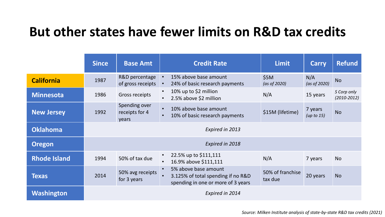### **But other states have fewer limits on R&D tax credits**

|                     | <b>Since</b>    | <b>Base Amt</b>                          |                        | <b>Credit Rate</b>                                                                               | <b>Limit</b>                | <b>Carry</b>             | <b>Refund</b>                  |
|---------------------|-----------------|------------------------------------------|------------------------|--------------------------------------------------------------------------------------------------|-----------------------------|--------------------------|--------------------------------|
| <b>California</b>   | 1987            | R&D percentage<br>of gross receipts      | $\bullet$<br>$\bullet$ | 15% above base amount<br>24% of basic research payments                                          | \$5M<br>(as of 2020)        | N/A<br>(as of 2020)      | <b>No</b>                      |
| <b>Minnesota</b>    | 1986            | Gross receipts                           | $\bullet$<br>$\bullet$ | 10% up to \$2 million<br>2.5% above \$2 million                                                  | N/A                         | 15 years                 | S Corp only<br>$(2010 - 2012)$ |
| <b>New Jersey</b>   | 1992            | Spending over<br>receipts for 4<br>years | $\bullet$<br>$\bullet$ | 10% above base amount<br>10% of basic research payments                                          | \$15M (lifetime)            | 7 years<br>(up to $15$ ) | <b>No</b>                      |
| <b>Oklahoma</b>     | Expired in 2013 |                                          |                        |                                                                                                  |                             |                          |                                |
| <b>Oregon</b>       |                 |                                          |                        | Expired in 2018                                                                                  |                             |                          |                                |
| <b>Rhode Island</b> | 1994            | 50% of tax due                           | $\bullet$<br>$\bullet$ | 22.5% up to \$111,111<br>16.9% above \$111,111                                                   | N/A                         | 7 years                  | <b>No</b>                      |
| <b>Texas</b>        | 2014            | 50% avg receipts<br>for 3 years          | $\bullet$              | 5% above base amount<br>3.125% of total spending if no R&D<br>spending in one or more of 3 years | 50% of franchise<br>tax due | 20 years                 | <b>No</b>                      |
| <b>Washington</b>   | Expired in 2014 |                                          |                        |                                                                                                  |                             |                          |                                |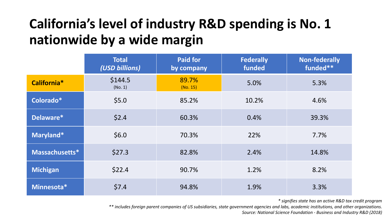# **California's level of industry R&D spending is No. 1 nationwide by a wide margin**

|                 | <b>Total</b><br>(USD billions) | <b>Paid for</b><br>by company | <b>Federally</b><br>funded | <b>Non-federally</b><br>funded** |
|-----------------|--------------------------------|-------------------------------|----------------------------|----------------------------------|
| California*     | \$144.5<br>(No. 1)             | 89.7%<br>(No. 15)             | 5.0%                       | 5.3%                             |
| Colorado*       | \$5.0                          | 85.2%                         | 10.2%                      | 4.6%                             |
| Delaware*       | \$2.4                          | 60.3%                         | 0.4%                       | 39.3%                            |
| Maryland*       | \$6.0                          | 70.3%                         | 22%                        | 7.7%                             |
| Massachusetts*  | \$27.3                         | 82.8%                         | 2.4%                       | 14.8%                            |
| <b>Michigan</b> | \$22.4                         | 90.7%                         | 1.2%                       | 8.2%                             |
| Minnesota*      | \$7.4                          | 94.8%                         | 1.9%                       | 3.3%                             |

*\* signifies state has an active R&D tax credit program*

*\*\* includes foreign parent companies of US subsidiaries, state government agencies and labs, academic institutions, and other organizations.*

*Source: National Science Foundation - Business and Industry R&D (2018)*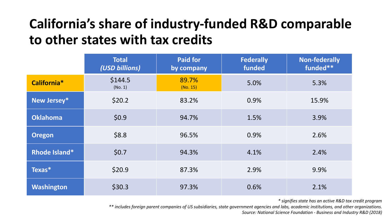## **California's share of industry-funded R&D comparable to other states with tax credits**

|                 | <b>Total</b><br>(USD billions) | <b>Paid for</b><br>by company | <b>Federally</b><br>funded | <b>Non-federally</b><br>funded** |
|-----------------|--------------------------------|-------------------------------|----------------------------|----------------------------------|
| California*     | \$144.5<br>(No. 1)             | 89.7%<br>(No. 15)             | 5.0%                       | 5.3%                             |
| New Jersey*     | \$20.2                         | 83.2%                         | 0.9%                       | 15.9%                            |
| <b>Oklahoma</b> | \$0.9                          | 94.7%                         | 1.5%                       | 3.9%                             |
| <b>Oregon</b>   | \$8.8                          | 96.5%                         | 0.9%                       | 2.6%                             |
| Rhode Island*   | \$0.7                          | 94.3%                         | 4.1%                       | 2.4%                             |
| Texas*          | \$20.9                         | 87.3%                         | 2.9%                       | 9.9%                             |
| Washington      | \$30.3                         | 97.3%                         | 0.6%                       | 2.1%                             |

*\* signifies state has an active R&D tax credit program*

*\*\* includes foreign parent companies of US subsidiaries, state government agencies and labs, academic institutions, and other organizations.*

*Source: National Science Foundation - Business and Industry R&D (2018)*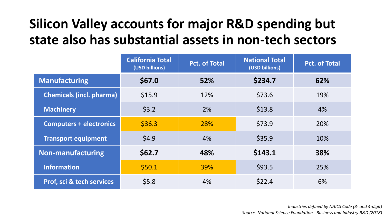## **Silicon Valley accounts for major R&D spending but state also has substantial assets in non-tech sectors**

|                                 | <b>California Total</b><br>(USD billions) | <b>Pct. of Total</b> | <b>National Total</b><br>(USD billions) | <b>Pct. of Total</b> |
|---------------------------------|-------------------------------------------|----------------------|-----------------------------------------|----------------------|
| <b>Manufacturing</b>            | \$67.0                                    | 52%                  | \$234.7                                 | 62%                  |
| <b>Chemicals (incl. pharma)</b> | \$15.9                                    | 12%                  | \$73.6                                  | 19%                  |
| <b>Machinery</b>                | \$3.2                                     | 2%                   | \$13.8                                  | 4%                   |
| <b>Computers + electronics</b>  | \$36.3                                    | 28%                  | \$73.9                                  | 20%                  |
| <b>Transport equipment</b>      | \$4.9                                     | 4%                   | \$35.9                                  | 10%                  |
| <b>Non-manufacturing</b>        | \$62.7                                    | 48%                  | \$143.1                                 | 38%                  |
| <b>Information</b>              | \$50.1                                    | 39%                  | \$93.5                                  | 25%                  |
| Prof, sci & tech services       | \$5.8                                     | 4%                   | \$22.4                                  | 6%                   |

*Industries defined by NAICS Code (3- and 4-digit) Source: National Science Foundation - Business and Industry R&D (2018)*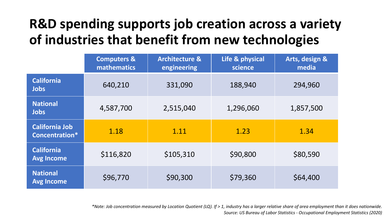# **R&D spending supports job creation across a variety of industries that benefit from new technologies**

|                                         | <b>Computers &amp;</b><br><b>mathematics</b> | <b>Architecture &amp;</b><br>engineering | Life & physical<br>science | Arts, design &<br>media |
|-----------------------------------------|----------------------------------------------|------------------------------------------|----------------------------|-------------------------|
| <b>California</b><br><b>Jobs</b>        | 640,210                                      | 331,090                                  | 188,940                    | 294,960                 |
| <b>National</b><br><b>Jobs</b>          | 4,587,700                                    | 2,515,040                                | 1,296,060                  | 1,857,500               |
| <b>California Job</b><br>Concentration* | 1.18                                         | 1.11                                     | 1.23                       | 1.34                    |
| <b>California</b><br><b>Avg Income</b>  | \$116,820                                    | \$105,310                                | \$90,800                   | \$80,590                |
| <b>National</b><br><b>Avg Income</b>    | \$96,770                                     | \$90,300                                 | \$79,360                   | \$64,400                |

*\*Note: Job concentration measured by Location Quotient (LQ). If > 1, industry has a larger relative share of area employment than it does nationwide. Source: US Bureau of Labor Statistics - Occupational Employment Statistics (2020)*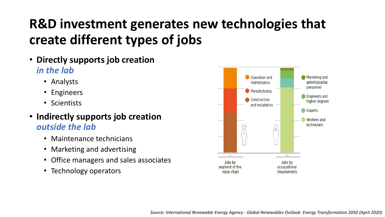# **R&D investment generates new technologies that create different types of jobs**

- **Directly supports job creation**  *in the lab*
	- Analysts
	- Engineers
	- Scientists
- **Indirectly supports job creation**  *outside the lab*
	- Maintenance technicians
	- Marketing and advertising
	- Office managers and sales associates
	- Technology operators

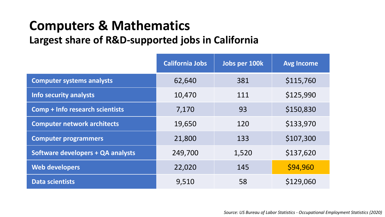### **Computers & Mathematics Largest share of R&D-supported jobs in California**

|                                          | <b>California Jobs</b> | Jobs per 100k | <b>Avg Income</b> |
|------------------------------------------|------------------------|---------------|-------------------|
| <b>Computer systems analysts</b>         | 62,640                 | 381           | \$115,760         |
| <b>Info security analysts</b>            | 10,470                 | 111           | \$125,990         |
| Comp + Info research scientists          | 7,170                  | 93            | \$150,830         |
| <b>Computer network architects</b>       | 19,650                 | 120           | \$133,970         |
| <b>Computer programmers</b>              | 21,800                 | 133           | \$107,300         |
| <b>Software developers + QA analysts</b> | 249,700                | 1,520         | \$137,620         |
| <b>Web developers</b>                    | 22,020                 | 145           | \$94,960          |
| <b>Data scientists</b>                   | 9,510                  | 58            | \$129,060         |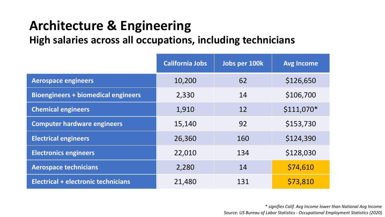### **Architecture & Engineering High salaries across all occupations, including technicians**

|                                            | <b>California Jobs</b> | Jobs per 100k | <b>Avg Income</b> |
|--------------------------------------------|------------------------|---------------|-------------------|
| <b>Aerospace engineers</b>                 | 10,200                 | 62            | \$126,650         |
| <b>Bioengineers + biomedical engineers</b> | 2,330                  | 14            | \$106,700         |
| <b>Chemical engineers</b>                  | 1,910                  | 12            | $$111,070*$       |
| <b>Computer hardware engineers</b>         | 15,140                 | 92            | \$153,730         |
| <b>Electrical engineers</b>                | 26,360                 | 160           | \$124,390         |
| <b>Electronics engineers</b>               | 22,010                 | 134           | \$128,030         |
| <b>Aerospace technicians</b>               | 2,280                  | 14            | \$74,610          |
| Electrical + electronic technicians        | 21,480                 | 131           | \$73,810          |

*\* signifies Calif. Avg Income lower than National Avg Income Source: US Bureau of Labor Statistics - Occupational Employment Statistics (2020)*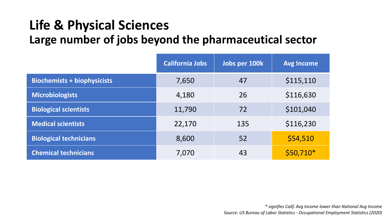## **Life & Physical Sciences Large number of jobs beyond the pharmaceutical sector**

|                                    | <b>California Jobs</b> | Jobs per 100k | <b>Avg Income</b> |
|------------------------------------|------------------------|---------------|-------------------|
| <b>Biochemists + biophysicists</b> | 7,650                  | 47            | \$115,110         |
| <b>Microbiologists</b>             | 4,180                  | 26            | \$116,630         |
| <b>Biological scientists</b>       | 11,790                 | 72            | \$101,040         |
| <b>Medical scientists</b>          | 22,170                 | 135           | \$116,230         |
| <b>Biological technicians</b>      | 8,600                  | 52            | \$54,510          |
| <b>Chemical technicians</b>        | 7,070                  | 43            | $$50,710*$        |

*\* signifies Calif. Avg Income lower than National Avg Income Source: US Bureau of Labor Statistics - Occupational Employment Statistics (2020)*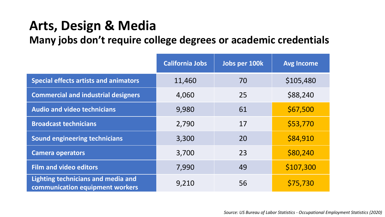# **Arts, Design & Media**

**Many jobs don't require college degrees or academic credentials**

|                                                                       | <b>California Jobs</b> | Jobs per 100k | <b>Avg Income</b> |
|-----------------------------------------------------------------------|------------------------|---------------|-------------------|
| <b>Special effects artists and animators</b>                          | 11,460                 | 70            | \$105,480         |
| <b>Commercial and industrial designers</b>                            | 4,060                  | 25            | \$88,240          |
| <b>Audio and video technicians</b>                                    | 9,980                  | 61            | \$67,500          |
| <b>Broadcast technicians</b>                                          | 2,790                  | 17            | \$53,770          |
| <b>Sound engineering technicians</b>                                  | 3,300                  | 20            | \$84,910          |
| <b>Camera operators</b>                                               | 3,700                  | 23            | \$80,240          |
| <b>Film and video editors</b>                                         | 7,990                  | 49            | \$107,300         |
| Lighting technicians and media and<br>communication equipment workers | 9,210                  | 56            | \$75,730          |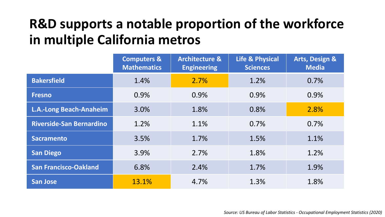## **R&D supports a notable proportion of the workforce in multiple California metros**

|                                 | <b>Computers &amp;</b><br><b>Mathematics</b> | <b>Architecture &amp;</b><br><b>Engineering</b> | <b>Life &amp; Physical</b><br><b>Sciences</b> | <b>Arts, Design &amp;</b><br><b>Media</b> |
|---------------------------------|----------------------------------------------|-------------------------------------------------|-----------------------------------------------|-------------------------------------------|
| <b>Bakersfield</b>              | 1.4%                                         | 2.7%                                            | 1.2%                                          | 0.7%                                      |
| <b>Fresno</b>                   | 0.9%                                         | 0.9%                                            | 0.9%                                          | 0.9%                                      |
| <b>L.A.-Long Beach-Anaheim</b>  | 3.0%                                         | 1.8%                                            | 0.8%                                          | 2.8%                                      |
| <b>Riverside-San Bernardino</b> | 1.2%                                         | 1.1%                                            | 0.7%                                          | 0.7%                                      |
| <b>Sacramento</b>               | 3.5%                                         | 1.7%                                            | 1.5%                                          | 1.1%                                      |
| <b>San Diego</b>                | 3.9%                                         | 2.7%                                            | 1.8%                                          | 1.2%                                      |
| <b>San Francisco-Oakland</b>    | 6.8%                                         | 2.4%                                            | 1.7%                                          | 1.9%                                      |
| <b>San Jose</b>                 | 13.1%                                        | 4.7%                                            | 1.3%                                          | 1.8%                                      |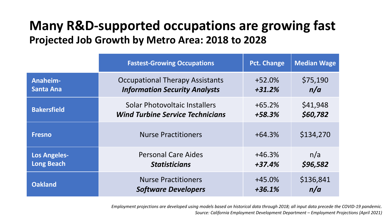### **Many R&D-supported occupations are growing fast Projected Job Growth by Metro Area: 2018 to 2028**

|                     | <b>Fastest-Growing Occupations</b>      | Pct. Change | <b>Median Wage</b> |
|---------------------|-----------------------------------------|-------------|--------------------|
| Anaheim-            | <b>Occupational Therapy Assistants</b>  | $+52.0%$    | \$75,190           |
| <b>Santa Ana</b>    | <b>Information Security Analysts</b>    | $+31.2%$    | n/a                |
| <b>Bakersfield</b>  | <b>Solar Photovoltaic Installers</b>    | $+65.2%$    | \$41,948           |
|                     | <b>Wind Turbine Service Technicians</b> | +58.3%      | \$60,782           |
| <b>Fresno</b>       | <b>Nurse Practitioners</b>              | $+64.3%$    | \$134,270          |
| <b>Los Angeles-</b> | <b>Personal Care Aides</b>              | $+46.3%$    | n/a                |
| <b>Long Beach</b>   | <b>Statisticians</b>                    | $+37.4%$    | \$96,582           |
| <b>Oakland</b>      | <b>Nurse Practitioners</b>              | $+45.0%$    | \$136,841          |
|                     | <b>Software Developers</b>              | $+36.1%$    | n/a                |

*Employment projections are developed using models based on historical data through 2018; all input data precede the COVID-19 pandemic. Source: California Employment Development Department – Employment Projections (April 2021)*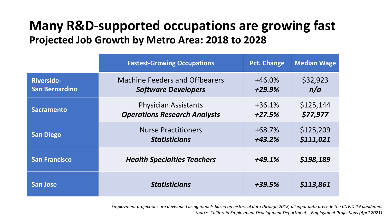### **Many R&D-supported occupations are growing fast Projected Job Growth by Metro Area: 2018 to 2028**

|                       | <b>Fastest-Growing Occupations</b>    | <b>Pct. Change</b> | <b>Median Wage</b> |
|-----------------------|---------------------------------------|--------------------|--------------------|
| <b>Riverside-</b>     | <b>Machine Feeders and Offbearers</b> | $+46.0\%$          | \$32,923           |
| <b>San Bernardino</b> | <b>Software Developers</b>            | $+29.9%$           | n/a                |
| <b>Sacramento</b>     | <b>Physician Assistants</b>           | $+36.1%$           | \$125,144          |
|                       | <b>Operations Research Analysts</b>   | $+27.5%$           | \$77,977           |
| <b>San Diego</b>      | <b>Nurse Practitioners</b>            | $+68.7%$           | \$125,209          |
|                       | <b>Statisticians</b>                  | $+43.2%$           | \$111,021          |
| <b>San Francisco</b>  | <b>Health Specialties Teachers</b>    | $+49.1%$           | \$198,189          |
| <b>San Jose</b>       | <b>Statisticians</b>                  | $+39.5%$           | \$113,861          |

*Employment projections are developed using models based on historical data through 2018; all input data precede the COVID-19 pandemic. Source: California Employment Development Department – Employment Projections (April 2021)*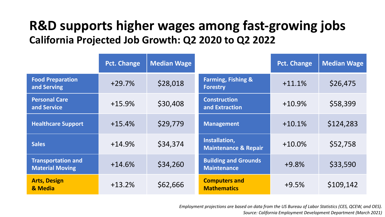### **R&D supports higher wages among fast-growing jobs California Projected Job Growth: Q2 2020 to Q2 2022**

|                                                     | <b>Pct. Change</b> | <b>Median Wage</b> |                                                   | <b>Pct. Change</b> | <b>Median Wage</b> |
|-----------------------------------------------------|--------------------|--------------------|---------------------------------------------------|--------------------|--------------------|
| <b>Food Preparation</b><br>and Serving              | $+29.7%$           | \$28,018           | <b>Farming, Fishing &amp;</b><br><b>Forestry</b>  | $+11.1%$           | \$26,475           |
| <b>Personal Care</b><br>and Service                 | $+15.9%$           | \$30,408           | <b>Construction</b><br>and Extraction             | $+10.9%$           | \$58,399           |
| <b>Healthcare Support</b>                           | $+15.4%$           | \$29,779           | <b>Management</b>                                 | $+10.1%$           | \$124,283          |
| <b>Sales</b>                                        | $+14.9%$           | \$34,374           | Installation,<br><b>Maintenance &amp; Repair</b>  | $+10.0\%$          | \$52,758           |
| <b>Transportation and</b><br><b>Material Moving</b> | $+14.6%$           | \$34,260           | <b>Building and Grounds</b><br><b>Maintenance</b> | $+9.8%$            | \$33,590           |
| <b>Arts, Design</b><br>& Media                      | $+13.2%$           | \$62,666           | <b>Computers and</b><br><b>Mathematics</b>        | $+9.5%$            | \$109,142          |

*Employment projections are based on data from the US Bureau of Labor Statistics (CES, QCEW, and OES). Source: California Employment Development Department (March 2021)*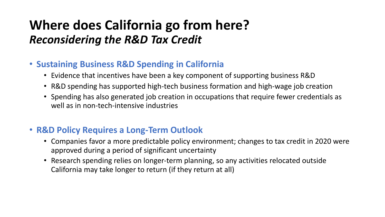## **Where does California go from here?** *Reconsidering the R&D Tax Credit*

#### • **Sustaining Business R&D Spending in California**

- Evidence that incentives have been a key component of supporting business R&D
- R&D spending has supported high-tech business formation and high-wage job creation
- Spending has also generated job creation in occupations that require fewer credentials as well as in non-tech-intensive industries

#### • **R&D Policy Requires a Long-Term Outlook**

- Companies favor a more predictable policy environment; changes to tax credit in 2020 were approved during a period of significant uncertainty
- Research spending relies on longer-term planning, so any activities relocated outside California may take longer to return (if they return at all)